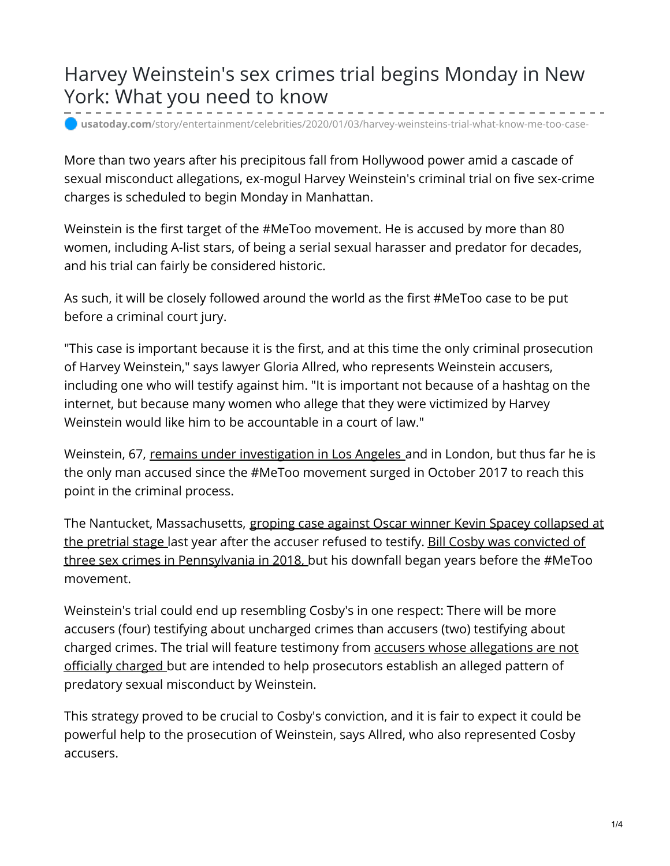#### Harvey Weinstein's sex crimes trial begins Monday in New York: What you need to know

**usatoday.com**[/story/entertainment/celebrities/2020/01/03/harvey-weinsteins-trial-what-know-me-too-case-](https://www.usatoday.com/story/entertainment/celebrities/2020/01/03/harvey-weinsteins-trial-what-know-me-too-case-goes-court/2774183001/)

More than two years after his precipitous fall from Hollywood power amid a cascade of sexual misconduct allegations, ex-mogul Harvey Weinstein's criminal trial on five sex-crime charges is scheduled to begin Monday in Manhattan.

Weinstein is the first target of the #MeToo movement. He is accused by more than 80 women, including A-list stars, of being a serial sexual harasser and predator for decades, and his trial can fairly be considered historic.

As such, it will be closely followed around the world as the first #MeToo case to be put before a criminal court jury.

"This case is important because it is the first, and at this time the only criminal prosecution of Harvey Weinstein," says lawyer Gloria Allred, who represents Weinstein accusers, including one who will testify against him. "It is important not because of a hashtag on the internet, but because many women who allege that they were victimized by Harvey Weinstein would like him to be accountable in a court of law."

Weinstein, 67, remains under [investigation](https://www.usatoday.com/story/entertainment/celebrities/2019/12/24/harvey-weinstein-under-scrutiny-8-cases-sexual-misconduct-los-angeles/2743409001/) in Los Angeles and in London, but thus far he is the only man accused since the #MeToo movement surged in October 2017 to reach this point in the criminal process.

The Nantucket, [Massachusetts,](https://www.usatoday.com/story/entertainment/celebrities/2019/07/17/kevin-spacey-groping-case-dropped-due-accusers-unavailability/1760951001/) groping case against Oscar winner Kevin Spacey collapsed at the pretrial stage last year after the accuser refused to testify. Bill Cosby was convicted of three sex crimes in [Pennsylvania](https://www.usatoday.com/story/life/2018/04/26/bill-cosby-retrial-day-14-deliberations-resume-after-hearing-defense-star-witness/553644002/) in 2018, but his downfall began years before the #MeToo movement.

Weinstein's trial could end up resembling Cosby's in one respect: There will be more accusers (four) testifying about uncharged crimes than accusers (two) testifying about charged crimes. The trial will feature testimony from **accusers whose allegations are not** officially charged but are intended to help [prosecutors](https://www.usatoday.com/story/entertainment/celebrities/2019/11/27/harvey-weinstein-loses-motion-dismiss-sex-crimes-case-judge-ruling/4319660002/) establish an alleged pattern of predatory sexual misconduct by Weinstein.

This strategy proved to be crucial to Cosby's conviction, and it is fair to expect it could be powerful help to the prosecution of Weinstein, says Allred, who also represented Cosby accusers.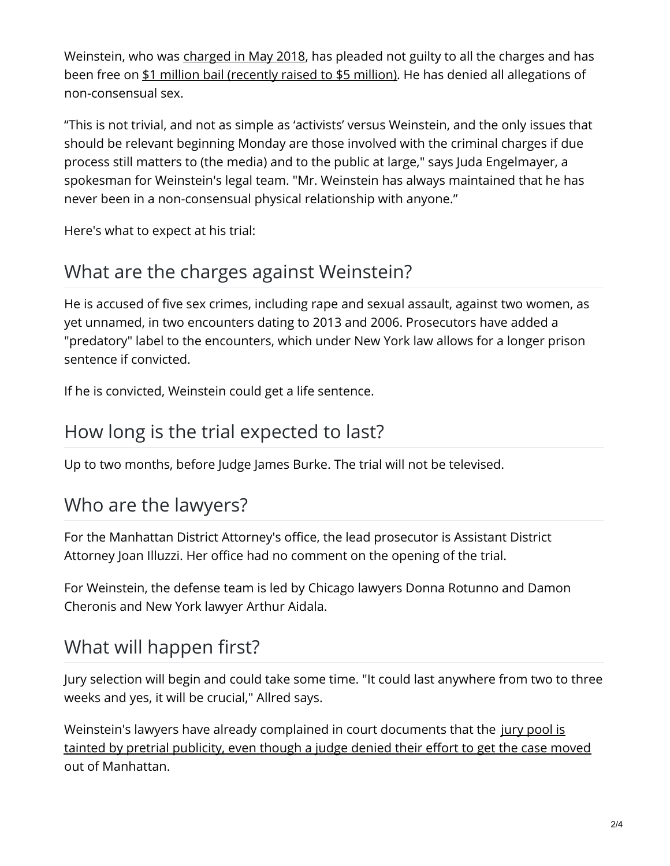Weinstein, who was [charged](https://www.usatoday.com/story/life/people/2018/05/25/harvey-weinstein-turns-himself-faces-charges/643740002/) in May 2018, has pleaded not guilty to all the charges and has been free on \$1 million bail [\(recently](https://www.usatoday.com/story/entertainment/celebrities/2019/12/11/harvey-weinsteins-bail-increased-5-m-over-ankle-monitor-tampering-allegations/4397023002/) raised to \$5 million). He has denied all allegations of non-consensual sex.

"This is not trivial, and not as simple as 'activists' versus Weinstein, and the only issues that should be relevant beginning Monday are those involved with the criminal charges if due process still matters to (the media) and to the public at large," says Juda Engelmayer, a spokesman for Weinstein's legal team. "Mr. Weinstein has always maintained that he has never been in a non-consensual physical relationship with anyone."

Here's what to expect at his trial:

#### What are the charges against Weinstein?

He is accused of five sex crimes, including rape and sexual assault, against two women, as yet unnamed, in two encounters dating to 2013 and 2006. Prosecutors have added a "predatory" label to the encounters, which under New York law allows for a longer prison sentence if convicted.

If he is convicted, Weinstein could get a life sentence.

### How long is the trial expected to last?

Up to two months, before Judge James Burke. The trial will not be televised.

### Who are the lawyers?

For the Manhattan District Attorney's office, the lead prosecutor is Assistant District Attorney Joan Illuzzi. Her office had no comment on the opening of the trial.

For Weinstein, the defense team is led by Chicago lawyers Donna Rotunno and Damon Cheronis and New York lawyer Arthur Aidala.

# What will happen first?

Jury selection will begin and could take some time. "It could last anywhere from two to three weeks and yes, it will be crucial," Allred says.

Weinstein's lawyers have already [complained](https://www.usatoday.com/story/entertainment/celebrities/2019/10/03/harvey-weinstein-metoo-case-mogul-loses-bid-move-trial-out-nyc/3855420002/) in court documents that the jury pool is tainted by pretrial publicity, even though a judge denied their effort to get the case moved out of Manhattan.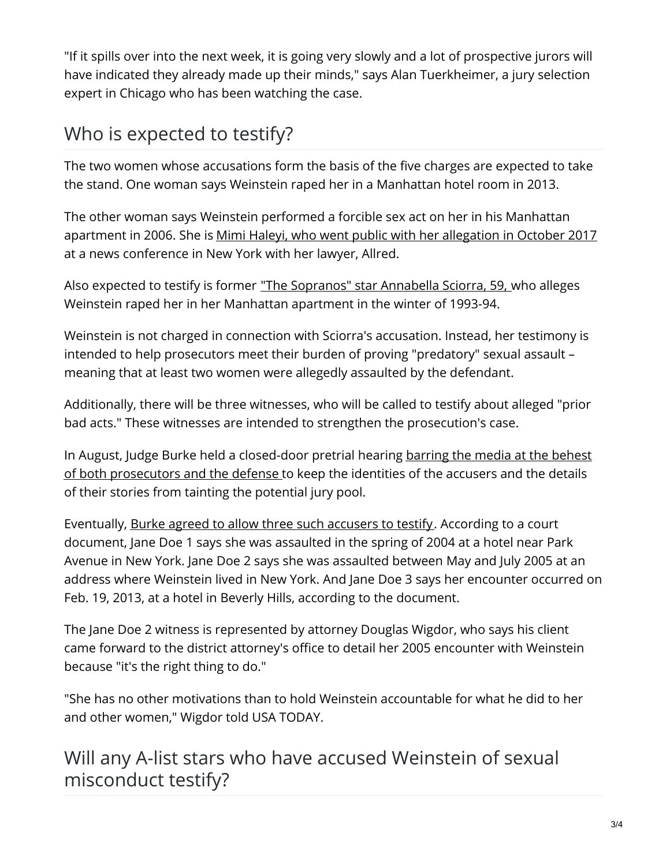"If it spills over into the next week, it is going very slowly and a lot of prospective jurors will have indicated they already made up their minds," says Alan Tuerkheimer, a jury selection expert in Chicago who has been watching the case.

# Who is expected to testify?

The two women whose accusations form the basis of the five charges are expected to take the stand. One woman says Weinstein raped her in a Manhattan hotel room in 2013.

The other woman says Weinstein performed a forcible sex act on her in his Manhattan apartment in 2006. She is Mimi Haleyi, who went public with her [allegation](https://www.usatoday.com/story/life/people/2017/10/27/weinstein-scandal-complete-list-accusers/804663001/) in October 2017 at a news conference in New York with her lawyer, Allred.

Also expected to testify is former "The [Sopranos"](https://www.usatoday.com/story/entertainment/celebrities/2019/08/26/harvey-weinstein-arraigned-annabella-sciorra-sex-crimes-case-new-york/2087081001/) star Annabella Sciorra, 59, who alleges Weinstein raped her in her Manhattan apartment in the winter of 1993-94.

Weinstein is not charged in connection with Sciorra's accusation. Instead, her testimony is intended to help prosecutors meet their burden of proving "predatory" sexual assault – meaning that at least two women were allegedly assaulted by the defendant.

Additionally, there will be three witnesses, who will be called to testify about alleged "prior bad acts." These witnesses are intended to strengthen the prosecution's case.

In August, Judge Burke held a [closed-door](https://www.usatoday.com/story/life/2019/04/26/harvey-weinstein-sex-crimes-case-public-media-court-high-stakes/3542755002/) pretrial hearing barring the media at the behest of both prosecutors and the defense to keep the identities of the accusers and the details of their stories from tainting the potential jury pool.

Eventually, Burke agreed to allow three such [accusers](https://www.cnn.com/2019/08/26/us/harvey-weinstein-arraignment-trial/index.html) to testify. According to a court document, Jane Doe 1 says she was assaulted in the spring of 2004 at a hotel near Park Avenue in New York. Jane Doe 2 says she was assaulted between May and July 2005 at an address where Weinstein lived in New York. And Jane Doe 3 says her encounter occurred on Feb. 19, 2013, at a hotel in Beverly Hills, according to the document.

The Jane Doe 2 witness is represented by attorney Douglas Wigdor, who says his client came forward to the district attorney's office to detail her 2005 encounter with Weinstein because "it's the right thing to do."

"She has no other motivations than to hold Weinstein accountable for what he did to her and other women," Wigdor told USA TODAY.

Will any A-list stars who have accused Weinstein of sexual misconduct testify?